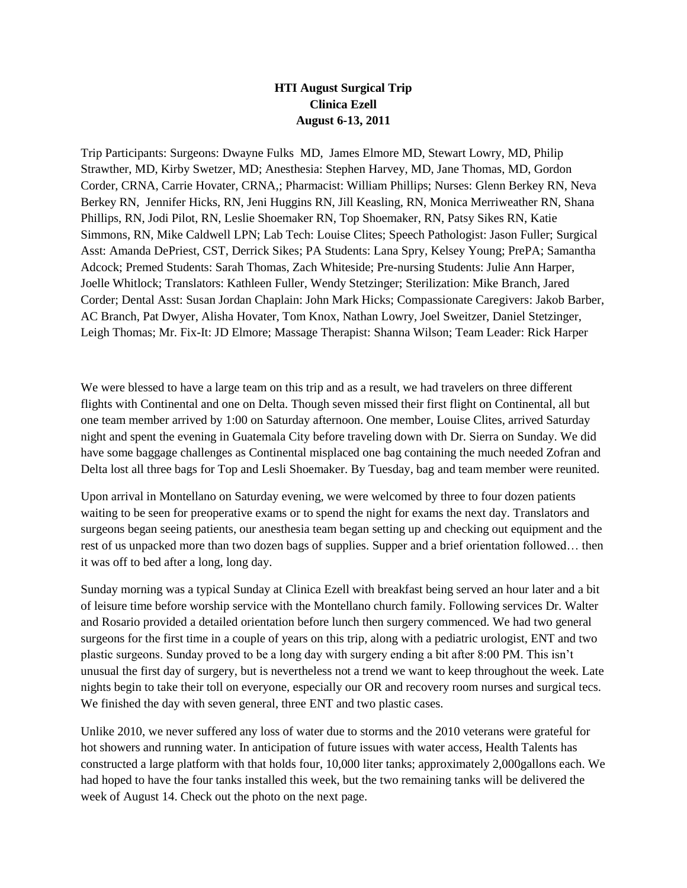## **HTI August Surgical Trip Clinica Ezell August 6-13, 2011**

Trip Participants: Surgeons: Dwayne Fulks MD, James Elmore MD, Stewart Lowry, MD, Philip Strawther, MD, Kirby Swetzer, MD; Anesthesia: Stephen Harvey, MD, Jane Thomas, MD, Gordon Corder, CRNA, Carrie Hovater, CRNA,; Pharmacist: William Phillips; Nurses: Glenn Berkey RN, Neva Berkey RN, Jennifer Hicks, RN, Jeni Huggins RN, Jill Keasling, RN, Monica Merriweather RN, Shana Phillips, RN, Jodi Pilot, RN, Leslie Shoemaker RN, Top Shoemaker, RN, Patsy Sikes RN, Katie Simmons, RN, Mike Caldwell LPN; Lab Tech: Louise Clites; Speech Pathologist: Jason Fuller; Surgical Asst: Amanda DePriest, CST, Derrick Sikes; PA Students: Lana Spry, Kelsey Young; PrePA; Samantha Adcock; Premed Students: Sarah Thomas, Zach Whiteside; Pre-nursing Students: Julie Ann Harper, Joelle Whitlock; Translators: Kathleen Fuller, Wendy Stetzinger; Sterilization: Mike Branch, Jared Corder; Dental Asst: Susan Jordan Chaplain: John Mark Hicks; Compassionate Caregivers: Jakob Barber, AC Branch, Pat Dwyer, Alisha Hovater, Tom Knox, Nathan Lowry, Joel Sweitzer, Daniel Stetzinger, Leigh Thomas; Mr. Fix-It: JD Elmore; Massage Therapist: Shanna Wilson; Team Leader: Rick Harper

We were blessed to have a large team on this trip and as a result, we had travelers on three different flights with Continental and one on Delta. Though seven missed their first flight on Continental, all but one team member arrived by 1:00 on Saturday afternoon. One member, Louise Clites, arrived Saturday night and spent the evening in Guatemala City before traveling down with Dr. Sierra on Sunday. We did have some baggage challenges as Continental misplaced one bag containing the much needed Zofran and Delta lost all three bags for Top and Lesli Shoemaker. By Tuesday, bag and team member were reunited.

Upon arrival in Montellano on Saturday evening, we were welcomed by three to four dozen patients waiting to be seen for preoperative exams or to spend the night for exams the next day. Translators and surgeons began seeing patients, our anesthesia team began setting up and checking out equipment and the rest of us unpacked more than two dozen bags of supplies. Supper and a brief orientation followed… then it was off to bed after a long, long day.

Sunday morning was a typical Sunday at Clinica Ezell with breakfast being served an hour later and a bit of leisure time before worship service with the Montellano church family. Following services Dr. Walter and Rosario provided a detailed orientation before lunch then surgery commenced. We had two general surgeons for the first time in a couple of years on this trip, along with a pediatric urologist, ENT and two plastic surgeons. Sunday proved to be a long day with surgery ending a bit after 8:00 PM. This isn't unusual the first day of surgery, but is nevertheless not a trend we want to keep throughout the week. Late nights begin to take their toll on everyone, especially our OR and recovery room nurses and surgical tecs. We finished the day with seven general, three ENT and two plastic cases.

Unlike 2010, we never suffered any loss of water due to storms and the 2010 veterans were grateful for hot showers and running water. In anticipation of future issues with water access, Health Talents has constructed a large platform with that holds four, 10,000 liter tanks; approximately 2,000gallons each. We had hoped to have the four tanks installed this week, but the two remaining tanks will be delivered the week of August 14. Check out the photo on the next page.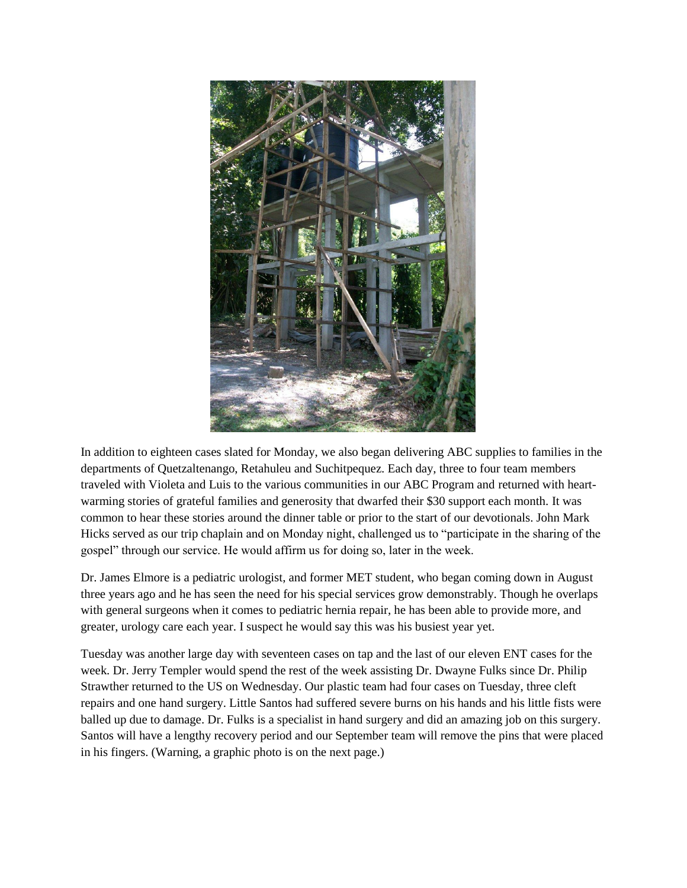

In addition to eighteen cases slated for Monday, we also began delivering ABC supplies to families in the departments of Quetzaltenango, Retahuleu and Suchitpequez. Each day, three to four team members traveled with Violeta and Luis to the various communities in our ABC Program and returned with heartwarming stories of grateful families and generosity that dwarfed their \$30 support each month. It was common to hear these stories around the dinner table or prior to the start of our devotionals. John Mark Hicks served as our trip chaplain and on Monday night, challenged us to "participate in the sharing of the gospel" through our service. He would affirm us for doing so, later in the week.

Dr. James Elmore is a pediatric urologist, and former MET student, who began coming down in August three years ago and he has seen the need for his special services grow demonstrably. Though he overlaps with general surgeons when it comes to pediatric hernia repair, he has been able to provide more, and greater, urology care each year. I suspect he would say this was his busiest year yet.

Tuesday was another large day with seventeen cases on tap and the last of our eleven ENT cases for the week. Dr. Jerry Templer would spend the rest of the week assisting Dr. Dwayne Fulks since Dr. Philip Strawther returned to the US on Wednesday. Our plastic team had four cases on Tuesday, three cleft repairs and one hand surgery. Little Santos had suffered severe burns on his hands and his little fists were balled up due to damage. Dr. Fulks is a specialist in hand surgery and did an amazing job on this surgery. Santos will have a lengthy recovery period and our September team will remove the pins that were placed in his fingers. (Warning, a graphic photo is on the next page.)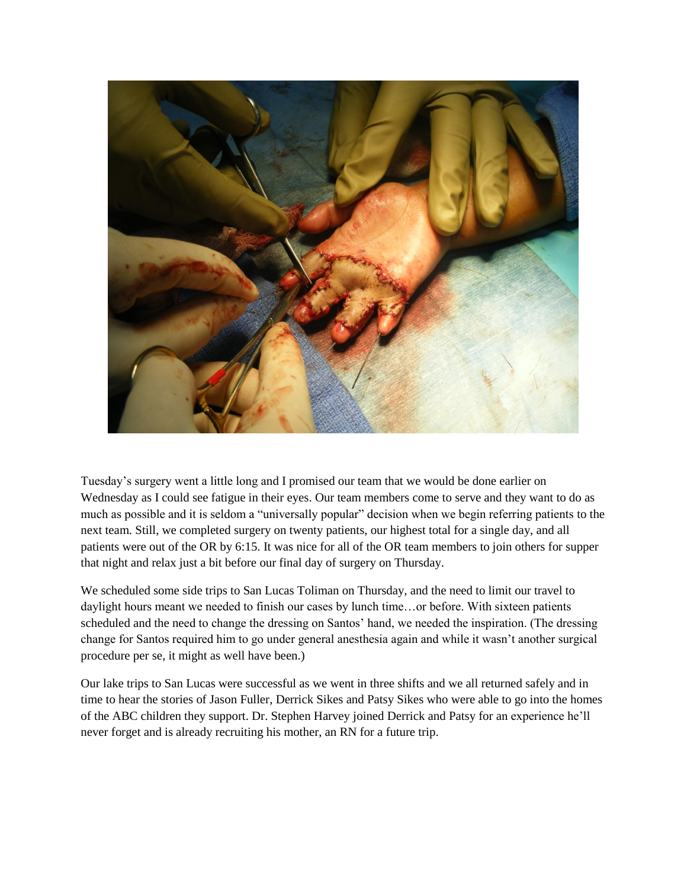

Tuesday's surgery went a little long and I promised our team that we would be done earlier on Wednesday as I could see fatigue in their eyes. Our team members come to serve and they want to do as much as possible and it is seldom a "universally popular" decision when we begin referring patients to the next team. Still, we completed surgery on twenty patients, our highest total for a single day, and all patients were out of the OR by 6:15. It was nice for all of the OR team members to join others for supper that night and relax just a bit before our final day of surgery on Thursday.

We scheduled some side trips to San Lucas Toliman on Thursday, and the need to limit our travel to daylight hours meant we needed to finish our cases by lunch time…or before. With sixteen patients scheduled and the need to change the dressing on Santos' hand, we needed the inspiration. (The dressing change for Santos required him to go under general anesthesia again and while it wasn't another surgical procedure per se, it might as well have been.)

Our lake trips to San Lucas were successful as we went in three shifts and we all returned safely and in time to hear the stories of Jason Fuller, Derrick Sikes and Patsy Sikes who were able to go into the homes of the ABC children they support. Dr. Stephen Harvey joined Derrick and Patsy for an experience he'll never forget and is already recruiting his mother, an RN for a future trip.